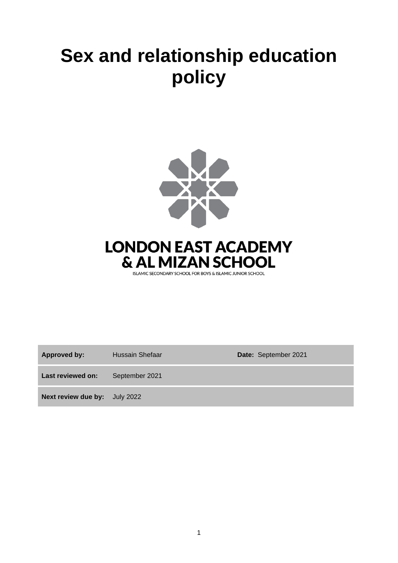# **Sex and relationship education policy**



**LONDON EAST ACADEMY** & AL MIZAN SCHOOL

ISLAMIC SECONDARY SCHOOL FOR BOYS & ISLAMIC JUNIOR SCHOOL

**Approved by:** Hussain Shefaar **Date:** September 2021

**Last reviewed on:** September 2021

**Next review due by:** July 2022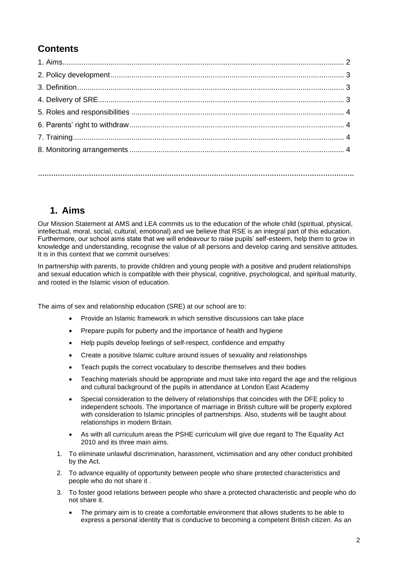# **Contents**

# **1. Aims**

Our Mission Statement at AMS and LEA commits us to the education of the whole child (spiritual, physical, intellectual, moral, social, cultural, emotional) and we believe that RSE is an integral part of this education. Furthermore, our school aims state that we will endeavour to raise pupils' self-esteem, help them to grow in knowledge and understanding, recognise the value of all persons and develop caring and sensitive attitudes. It is in this context that we commit ourselves:

In partnership with parents, to provide children and young people with a positive and prudent relationships and sexual education which is compatible with their physical, cognitive, psychological, and spiritual maturity, and rooted in the Islamic vision of education.

The aims of sex and relationship education (SRE) at our school are to:

- Provide an Islamic framework in which sensitive discussions can take place
- Prepare pupils for puberty and the importance of health and hygiene
- Help pupils develop feelings of self-respect, confidence and empathy
- Create a positive Islamic culture around issues of sexuality and relationships
- Teach pupils the correct vocabulary to describe themselves and their bodies
- Teaching materials should be appropriate and must take into regard the age and the religious and cultural background of the pupils in attendance at London East Academy
- Special consideration to the delivery of relationships that coincides with the DFE policy to independent schools. The importance of marriage in British culture will be properly explored with consideration to Islamic principles of partnerships. Also, students will be taught about relationships in modern Britain.
- As with all curriculum areas the PSHE curriculum will give due regard to The Equality Act 2010 and its three main aims.
- 1. To eliminate unlawful discrimination, harassment, victimisation and any other conduct prohibited by the Act.
- 2. To advance equality of opportunity between people who share protected characteristics and people who do not share it .
- 3. To foster good relations between people who share a protected characteristic and people who do not share it.
	- The primary aim is to create a comfortable environment that allows students to be able to express a personal identity that is conducive to becoming a competent British citizen. As an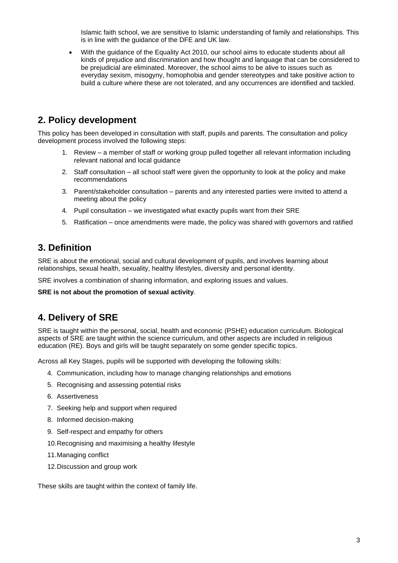Islamic faith school, we are sensitive to Islamic understanding of family and relationships. This is in line with the guidance of the DFE and UK law.

• With the guidance of the Equality Act 2010, our school aims to educate students about all kinds of prejudice and discrimination and how thought and language that can be considered to be prejudicial are eliminated. Moreover, the school aims to be alive to issues such as everyday sexism, misogyny, homophobia and gender stereotypes and take positive action to build a culture where these are not tolerated, and any occurrences are identified and tackled.

## **2. Policy development**

This policy has been developed in consultation with staff, pupils and parents. The consultation and policy development process involved the following steps:

- 1. Review a member of staff or working group pulled together all relevant information including relevant national and local guidance
- 2. Staff consultation all school staff were given the opportunity to look at the policy and make recommendations
- 3. Parent/stakeholder consultation parents and any interested parties were invited to attend a meeting about the policy
- 4. Pupil consultation we investigated what exactly pupils want from their SRE
- 5. Ratification once amendments were made, the policy was shared with governors and ratified

## **3. Definition**

SRE is about the emotional, social and cultural development of pupils, and involves learning about relationships, sexual health, sexuality, healthy lifestyles, diversity and personal identity.

SRE involves a combination of sharing information, and exploring issues and values.

**SRE is not about the promotion of sexual activity**.

## **4. Delivery of SRE**

SRE is taught within the personal, social, health and economic (PSHE) education curriculum. Biological aspects of SRE are taught within the science curriculum, and other aspects are included in religious education (RE). Boys and girls will be taught separately on some gender specific topics.

Across all Key Stages, pupils will be supported with developing the following skills:

- 4. Communication, including how to manage changing relationships and emotions
- 5. Recognising and assessing potential risks
- 6. Assertiveness
- 7. Seeking help and support when required
- 8. Informed decision-making
- 9. Self-respect and empathy for others
- 10.Recognising and maximising a healthy lifestyle
- 11.Managing conflict
- 12.Discussion and group work

These skills are taught within the context of family life.